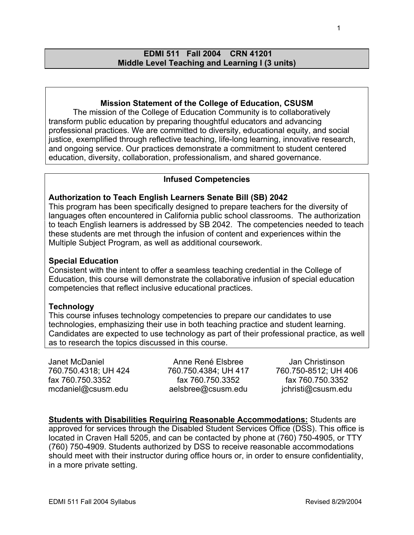# **EDMI 511 Fall 2004 CRN 41201 Middle Level Teaching and Learning I (3 units)**

# **Mission Statement of the College of Education, CSUSM**

The mission of the College of Education Community is to collaboratively transform public education by preparing thoughtful educators and advancing professional practices. We are committed to diversity, educational equity, and social justice, exemplified through reflective teaching, life-long learning, innovative research, and ongoing service. Our practices demonstrate a commitment to student centered education, diversity, collaboration, professionalism, and shared governance.

## **Infused Competencies**

### **Authorization to Teach English Learners Senate Bill (SB) 2042**

This program has been specifically designed to prepare teachers for the diversity of languages often encountered in California public school classrooms. The authorization to teach English learners is addressed by SB 2042. The competencies needed to teach these students are met through the infusion of content and experiences within the Multiple Subject Program, as well as additional coursework.

#### **Special Education**

Consistent with the intent to offer a seamless teaching credential in the College of Education, this course will demonstrate the collaborative infusion of special education competencies that reflect inclusive educational practices.

#### **Technology**

This course infuses technology competencies to prepare our candidates to use technologies, emphasizing their use in both teaching practice and student learning. Candidates are expected to use technology as part of their professional practice, as well as to research the topics discussed in this course.

Janet McDaniel 760.750.4318; UH 424 fax 760.750.3352 mcdaniel@csusm.edu

Anne René Elsbree 760.750.4384; UH 417 fax 760.750.3352 aelsbree@csusm.edu

Jan Christinson 760.750-8512; UH 406 fax 760.750.3352 jchristi@csusm.edu

**Students with Disabilities Requiring Reasonable Accommodations:** Students are approved for services through the Disabled Student Services Office (DSS). This office is located in Craven Hall 5205, and can be contacted by phone at (760) 750-4905, or TTY (760) 750-4909. Students authorized by DSS to receive reasonable accommodations should meet with their instructor during office hours or, in order to ensure confidentiality, in a more private setting.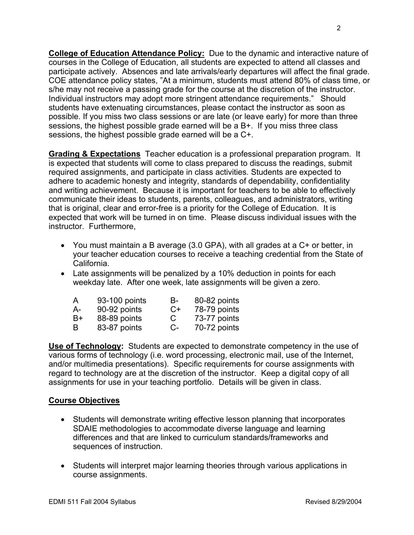**College of Education Attendance Policy:** Due to the dynamic and interactive nature of courses in the College of Education, all students are expected to attend all classes and participate actively. Absences and late arrivals/early departures will affect the final grade. COE attendance policy states, "At a minimum, students must attend 80% of class time, or s/he may not receive a passing grade for the course at the discretion of the instructor. Individual instructors may adopt more stringent attendance requirements." Should students have extenuating circumstances, please contact the instructor as soon as possible. If you miss two class sessions or are late (or leave early) for more than three sessions, the highest possible grade earned will be a B+. If you miss three class sessions, the highest possible grade earned will be a C+.

**Grading & Expectations** Teacher education is a professional preparation program. It is expected that students will come to class prepared to discuss the readings, submit required assignments, and participate in class activities. Students are expected to adhere to academic honesty and integrity, standards of dependability, confidentiality and writing achievement. Because it is important for teachers to be able to effectively communicate their ideas to students, parents, colleagues, and administrators, writing that is original, clear and error-free is a priority for the College of Education. It is expected that work will be turned in on time. Please discuss individual issues with the instructor. Furthermore,

- You must maintain a B average (3.0 GPA), with all grades at a C+ or better, in your teacher education courses to receive a teaching credential from the State of California.
- Late assignments will be penalized by a 10% deduction in points for each weekday late. After one week, late assignments will be given a zero.

| A    | 93-100 points | В-   | 80-82 points |
|------|---------------|------|--------------|
| $A-$ | 90-92 points  | $C+$ | 78-79 points |
| $B+$ | 88-89 points  | C    | 73-77 points |
| B    | 83-87 points  | $C-$ | 70-72 points |

**Use of Technology:** Students are expected to demonstrate competency in the use of various forms of technology (i.e. word processing, electronic mail, use of the Internet, and/or multimedia presentations). Specific requirements for course assignments with regard to technology are at the discretion of the instructor. Keep a digital copy of all assignments for use in your teaching portfolio. Details will be given in class.

# **Course Objectives**

- Students will demonstrate writing effective lesson planning that incorporates SDAIE methodologies to accommodate diverse language and learning differences and that are linked to curriculum standards/frameworks and sequences of instruction.
- Students will interpret major learning theories through various applications in course assignments.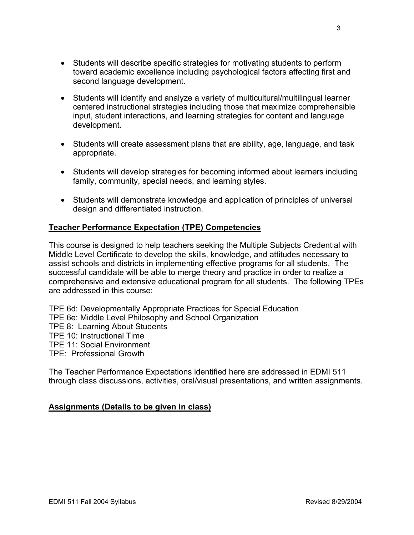- Students will describe specific strategies for motivating students to perform toward academic excellence including psychological factors affecting first and second language development.
- Students will identify and analyze a variety of multicultural/multilingual learner centered instructional strategies including those that maximize comprehensible input, student interactions, and learning strategies for content and language development.
- Students will create assessment plans that are ability, age, language, and task appropriate.
- Students will develop strategies for becoming informed about learners including family, community, special needs, and learning styles.
- Students will demonstrate knowledge and application of principles of universal design and differentiated instruction.

# **Teacher Performance Expectation (TPE) Competencies**

This course is designed to help teachers seeking the Multiple Subjects Credential with Middle Level Certificate to develop the skills, knowledge, and attitudes necessary to assist schools and districts in implementing effective programs for all students. The successful candidate will be able to merge theory and practice in order to realize a comprehensive and extensive educational program for all students. The following TPEs are addressed in this course:

TPE 6d: Developmentally Appropriate Practices for Special Education TPE 6e: Middle Level Philosophy and School Organization TPE 8: Learning About Students TPE 10: Instructional Time TPE 11: Social Environment TPE: Professional Growth

The Teacher Performance Expectations identified here are addressed in EDMI 511 through class discussions, activities, oral/visual presentations, and written assignments.

# **Assignments (Details to be given in class)**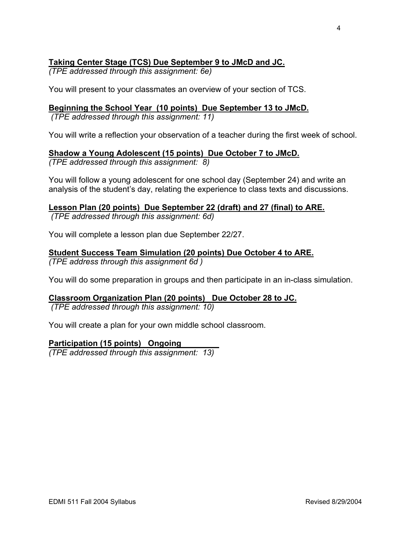# **Taking Center Stage (TCS) Due September 9 to JMcD and JC.**

*(TPE addressed through this assignment: 6e)* 

You will present to your classmates an overview of your section of TCS.

# **Beginning the School Year (10 points) Due September 13 to JMcD.**

 *(TPE addressed through this assignment: 11)* 

You will write a reflection your observation of a teacher during the first week of school.

# **Shadow a Young Adolescent (15 points) Due October 7 to JMcD.**

*(TPE addressed through this assignment: 8)* 

You will follow a young adolescent for one school day (September 24) and write an analysis of the student's day, relating the experience to class texts and discussions.

# **Lesson Plan (20 points) Due September 22 (draft) and 27 (final) to ARE.**

 *(TPE addressed through this assignment: 6d)* 

You will complete a lesson plan due September 22/27.

# **Student Success Team Simulation (20 points) Due October 4 to ARE.**

*(TPE address through this assignment 6d )* 

You will do some preparation in groups and then participate in an in-class simulation.

# **Classroom Organization Plan (20 points) Due October 28 to JC.**

 *(TPE addressed through this assignment: 10)* 

You will create a plan for your own middle school classroom.

# **Participation (15 points) Ongoing**

*(TPE addressed through this assignment: 13)*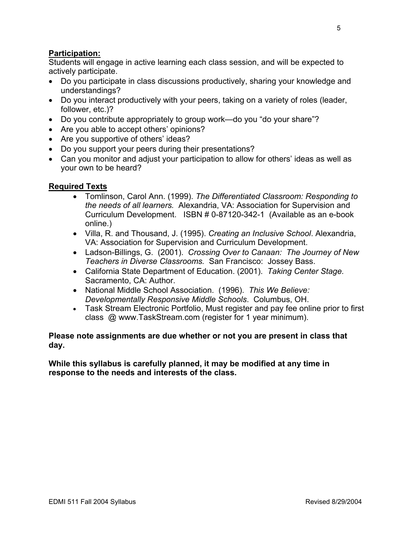# **Participation:**

Students will engage in active learning each class session, and will be expected to actively participate.

- Do you participate in class discussions productively, sharing your knowledge and understandings?
- Do you interact productively with your peers, taking on a variety of roles (leader, follower, etc.)?
- Do you contribute appropriately to group work—do you "do your share"?
- Are you able to accept others' opinions?
- Are you supportive of others' ideas?
- Do you support your peers during their presentations?
- Can you monitor and adjust your participation to allow for others' ideas as well as your own to be heard?

# **Required Texts**

- Tomlinson, Carol Ann. (1999). *The Differentiated Classroom: Responding to the needs of all learners.* Alexandria, VA: Association for Supervision and Curriculum Development. ISBN # 0-87120-342-1 (Available as an e-book online.)
- Villa, R. and Thousand, J. (1995). *Creating an Inclusive School*. Alexandria, VA: Association for Supervision and Curriculum Development.
- Ladson-Billings, G. (2001). *Crossing Over to Canaan: The Journey of New Teachers in Diverse Classrooms.* San Francisco: Jossey Bass.
- California State Department of Education. (2001). *Taking Center Stage.*  Sacramento, CA: Author.
- National Middle School Association. (1996). *This We Believe: Developmentally Responsive Middle Schools*. Columbus, OH.
- Task Stream Electronic Portfolio, Must register and pay fee online prior to first class @ www.TaskStream.com (register for 1 year minimum).

# **Please note assignments are due whether or not you are present in class that day.**

**While this syllabus is carefully planned, it may be modified at any time in response to the needs and interests of the class.**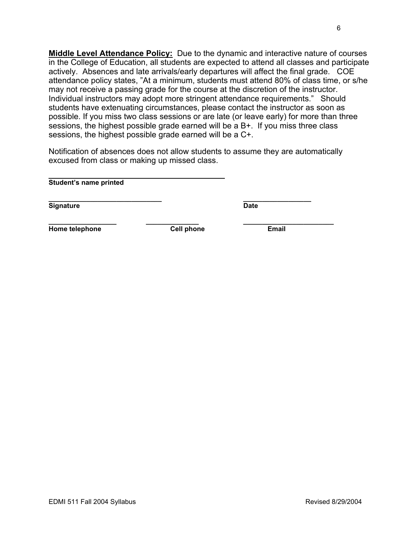**Middle Level Attendance Policy:** Due to the dynamic and interactive nature of courses in the College of Education, all students are expected to attend all classes and participate actively. Absences and late arrivals/early departures will affect the final grade. COE attendance policy states, "At a minimum, students must attend 80% of class time, or s/he may not receive a passing grade for the course at the discretion of the instructor. Individual instructors may adopt more stringent attendance requirements." Should students have extenuating circumstances, please contact the instructor as soon as possible. If you miss two class sessions or are late (or leave early) for more than three sessions, the highest possible grade earned will be a B+. If you miss three class sessions, the highest possible grade earned will be a C+.

Notification of absences does not allow students to assume they are automatically excused from class or making up missed class.

**\_\_\_\_\_\_\_\_\_\_\_\_\_\_\_\_\_\_\_\_\_\_ \_\_\_\_\_\_\_\_ Student's name printed** 

**\_\_\_\_\_\_\_\_\_\_\_\_\_\_\_\_\_\_\_\_\_\_\_\_\_\_\_\_\_\_ \_\_\_\_\_\_\_\_\_\_\_\_\_\_\_\_\_\_ Signature** Date

**\_\_\_\_\_\_\_\_\_\_\_\_\_\_\_\_\_\_ \_\_\_\_\_\_\_\_\_\_\_\_\_\_ \_\_\_\_\_\_\_\_\_\_\_\_\_\_\_\_\_\_\_\_\_\_\_\_ Home telephone Cell phone Email**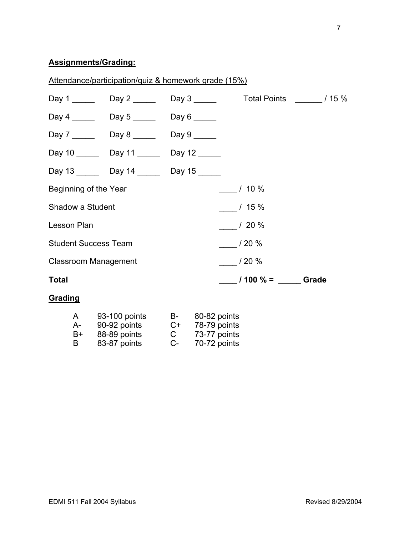# **Assignments/Grading:**

|                             | Attendance/participation/quiz & homework grade (15%)                               |             |              |                  |                                             |  |
|-----------------------------|------------------------------------------------------------------------------------|-------------|--------------|------------------|---------------------------------------------|--|
|                             | Day 1 _________ Day 2 ________ Day 3 ________ Total Points _______ / 15 %          |             |              |                  |                                             |  |
|                             | Day 4 Day 5 Day 6                                                                  |             |              |                  |                                             |  |
|                             | Day 7 ________ Day 8 _______ Day 9 ______                                          |             |              |                  |                                             |  |
|                             | Day 10 _______ Day 11 ______ Day 12 _____                                          |             |              |                  |                                             |  |
|                             | Day 13 _______ Day 14 ______ Day 15 _____                                          |             |              |                  |                                             |  |
| Beginning of the Year       |                                                                                    |             |              | $10\%$           |                                             |  |
| Shadow a Student            |                                                                                    |             |              | $/15\%$          |                                             |  |
| <b>Lesson Plan</b>          |                                                                                    |             |              | $/20 \%$         |                                             |  |
| <b>Student Success Team</b> |                                                                                    |             |              | $\frac{1}{20\%}$ |                                             |  |
| <b>Classroom Management</b> |                                                                                    |             |              | 120%             |                                             |  |
| <b>Total</b>                |                                                                                    |             |              |                  | $\frac{1}{2}$ / 100 % = $\frac{1}{2}$ Grade |  |
| Grading                     |                                                                                    |             |              |                  |                                             |  |
| B+                          | A 93-100 points B- 80-82 points<br>A- 90-92 points C+ 78-79 points<br>88-89 points | $\mathsf C$ | 73-77 points |                  |                                             |  |

B 83-87 points C- 70-72 points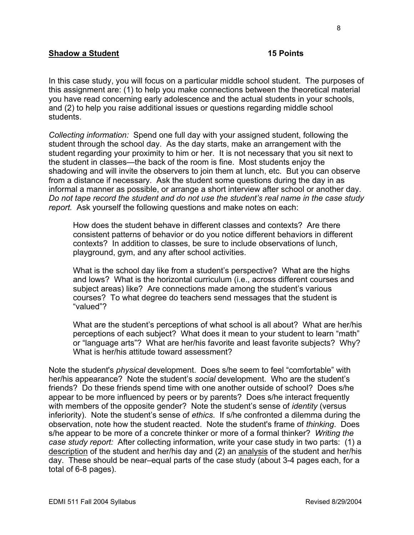# **Shadow a Student 15 Points 15 Points**

In this case study, you will focus on a particular middle school student. The purposes of this assignment are: (1) to help you make connections between the theoretical material you have read concerning early adolescence and the actual students in your schools, and (2) to help you raise additional issues or questions regarding middle school students.

*Collecting information:* Spend one full day with your assigned student, following the student through the school day. As the day starts, make an arrangement with the student regarding your proximity to him or her. It is not necessary that you sit next to the student in classes—the back of the room is fine. Most students enjoy the shadowing and will invite the observers to join them at lunch, etc. But you can observe from a distance if necessary. Ask the student some questions during the day in as informal a manner as possible, or arrange a short interview after school or another day. *Do not tape record the student and do not use the student's real name in the case study report.* Ask yourself the following questions and make notes on each:

How does the student behave in different classes and contexts? Are there consistent patterns of behavior or do you notice different behaviors in different contexts? In addition to classes, be sure to include observations of lunch, playground, gym, and any after school activities.

What is the school day like from a student's perspective? What are the highs and lows? What is the horizontal curriculum (i.e., across different courses and subject areas) like? Are connections made among the student's various courses? To what degree do teachers send messages that the student is "valued"?

What are the student's perceptions of what school is all about? What are her/his perceptions of each subject? What does it mean to your student to learn "math" or "language arts"? What are her/his favorite and least favorite subjects? Why? What is her/his attitude toward assessment?

Note the student's *physical* development. Does s/he seem to feel "comfortable" with her/his appearance? Note the student's *social* development. Who are the student's friends? Do these friends spend time with one another outside of school? Does s/he appear to be more influenced by peers or by parents? Does s/he interact frequently with members of the opposite gender? Note the student's sense of *identity* (versus inferiority). Note the student's sense of *ethics*. If s/he confronted a dilemma during the observation, note how the student reacted. Note the student's frame of *thinking*. Does s/he appear to be more of a concrete thinker or more of a formal thinker? *Writing the case study report:* After collecting information, write your case study in two parts: (1) a description of the student and her/his day and (2) an analysis of the student and her/his day. These should be near–equal parts of the case study (about 3-4 pages each, for a total of 6-8 pages).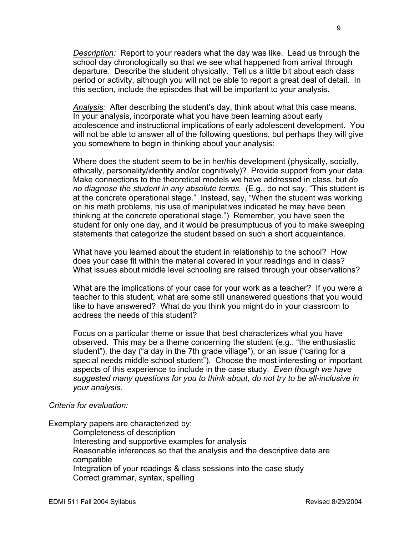*Description:* Report to your readers what the day was like. Lead us through the school day chronologically so that we see what happened from arrival through departure. Describe the student physically. Tell us a little bit about each class period or activity, although you will not be able to report a great deal of detail. In this section, include the episodes that will be important to your analysis.

*Analysis:* After describing the student's day, think about what this case means. In your analysis, incorporate what you have been learning about early adolescence and instructional implications of early adolescent development. You will not be able to answer all of the following questions, but perhaps they will give you somewhere to begin in thinking about your analysis:

Where does the student seem to be in her/his development (physically, socially, ethically, personality/identity and/or cognitively)? Provide support from your data. Make connections to the theoretical models we have addressed in class, but *do no diagnose the student in any absolute terms.* (E.g., do not say, "This student is at the concrete operational stage." Instead, say, "When the student was working on his math problems, his use of manipulatives indicated he may have been thinking at the concrete operational stage.") Remember, you have seen the student for only one day, and it would be presumptuous of you to make sweeping statements that categorize the student based on such a short acquaintance.

What have you learned about the student in relationship to the school? How does your case fit within the material covered in your readings and in class? What issues about middle level schooling are raised through your observations?

What are the implications of your case for your work as a teacher? If you were a teacher to this student, what are some still unanswered questions that you would like to have answered? What do you think you might do in your classroom to address the needs of this student?

Focus on a particular theme or issue that best characterizes what you have observed. This may be a theme concerning the student (e.g., "the enthusiastic student"), the day ("a day in the 7th grade village"), or an issue ("caring for a special needs middle school student"). Choose the most interesting or important aspects of this experience to include in the case study. *Even though we have suggested many questions for you to think about, do not try to be all-inclusive in your analysis.* 

# *Criteria for evaluation:*

Exemplary papers are characterized by:

Completeness of description Interesting and supportive examples for analysis Reasonable inferences so that the analysis and the descriptive data are compatible Integration of your readings & class sessions into the case study Correct grammar, syntax, spelling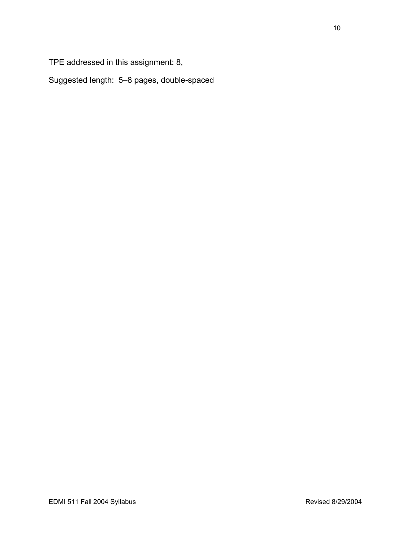TPE addressed in this assignment: 8,

Suggested length: 5–8 pages, double-spaced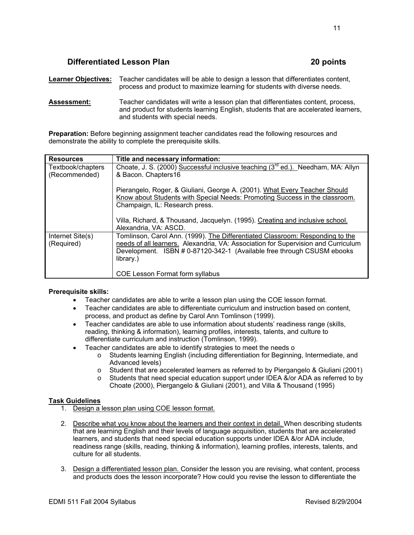# **Differentiated Lesson Plan 20 points** 20 points

**Learner Objectives:** Teacher candidates will be able to design a lesson that differentiates content, process and product to maximize learning for students with diverse needs.

**Assessment:** Teacher candidates will write a lesson plan that differentiates content, process, and product for students learning English, students that are accelerated learners, and students with special needs.

**Preparation:** Before beginning assignment teacher candidates read the following resources and demonstrate the ability to complete the prerequisite skills.

| <b>Resources</b>               | Title and necessary information:                                                                                                                                                                                                                          |
|--------------------------------|-----------------------------------------------------------------------------------------------------------------------------------------------------------------------------------------------------------------------------------------------------------|
| Textbook/chapters              | Choate, J. S. (2000) Successful inclusive teaching (3 <sup>rd</sup> ed.). Needham, MA: Allyn                                                                                                                                                              |
| (Recommended)                  | & Bacon. Chapters16                                                                                                                                                                                                                                       |
|                                | Pierangelo, Roger, & Giuliani, George A. (2001). What Every Teacher Should<br>Know about Students with Special Needs: Promoting Success in the classroom.<br>Champaign, IL: Research press.                                                               |
|                                | Villa, Richard, & Thousand, Jacquelyn. (1995). Creating and inclusive school.<br>Alexandria, VA: ASCD.                                                                                                                                                    |
| Internet Site(s)<br>(Required) | Tomlinson, Carol Ann. (1999). The Differentiated Classroom: Responding to the<br>needs of all learners. Alexandria, VA: Association for Supervision and Curriculum<br>Development. ISBN # 0-87120-342-1 (Available free through CSUSM ebooks<br>library.) |
|                                | <b>COE Lesson Format form syllabus</b>                                                                                                                                                                                                                    |

#### **Prerequisite skills:**

- Teacher candidates are able to write a lesson plan using the COE lesson format.
- Teacher candidates are able to differentiate curriculum and instruction based on content, process, and product as define by Carol Ann Tomlinson (1999).
- Teacher candidates are able to use information about students' readiness range (skills, reading, thinking & information), learning profiles, interests, talents, and culture to differentiate curriculum and instruction (Tomlinson, 1999).
- Teacher candidates are able to identify strategies to meet the needs o
	- o Students learning English (including differentiation for Beginning, Intermediate, and Advanced levels)
	- o Student that are accelerated learners as referred to by Piergangelo & Giuliani (2001)
	- $\circ$  Students that need special education support under IDEA &/or ADA as referred to by Choate (2000), Piergangelo & Giuliani (2001), and Villa & Thousand (1995)

#### **Task Guidelines**

- 1. Design a lesson plan using COE lesson format.
- 2. Describe what you know about the learners and their context in detail. When describing students that are learning English and their levels of language acquisition, students that are accelerated learners, and students that need special education supports under IDEA &/or ADA include, readiness range (skills, reading, thinking & information), learning profiles, interests, talents, and culture for all students.
- 3. Design a differentiated lesson plan. Consider the lesson you are revising, what content, process and products does the lesson incorporate? How could you revise the lesson to differentiate the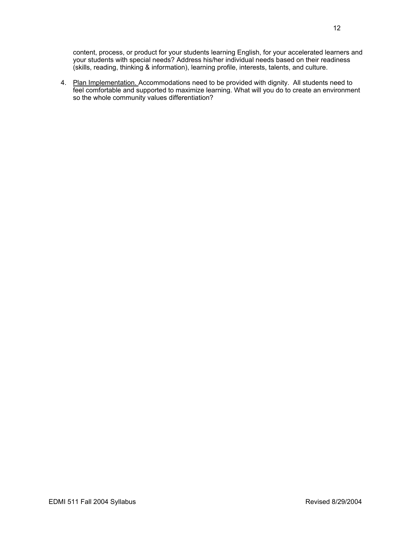content, process, or product for your students learning English, for your accelerated learners and your students with special needs? Address his/her individual needs based on their readiness (skills, reading, thinking & information), learning profile, interests, talents, and culture.

4. Plan Implementation. Accommodations need to be provided with dignity. All students need to feel comfortable and supported to maximize learning. What will you do to create an environment so the whole community values differentiation?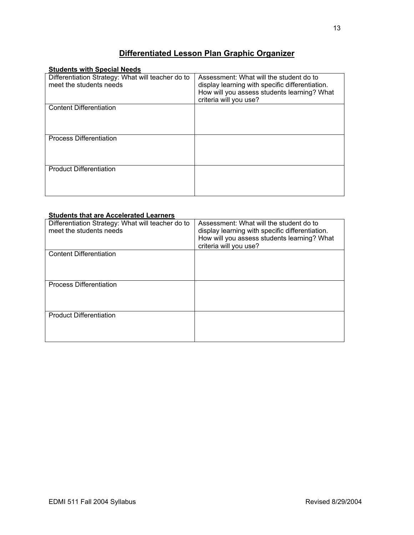# **Differentiated Lesson Plan Graphic Organizer**

| <b>Students with Special Needs</b>                |                                                 |
|---------------------------------------------------|-------------------------------------------------|
| Differentiation Strategy: What will teacher do to | Assessment: What will the student do to         |
| meet the students needs                           | display learning with specific differentiation. |
|                                                   | How will you assess students learning? What     |
|                                                   | criteria will you use?                          |
| <b>Content Differentiation</b>                    |                                                 |
|                                                   |                                                 |
|                                                   |                                                 |
|                                                   |                                                 |
| <b>Process Differentiation</b>                    |                                                 |
|                                                   |                                                 |
|                                                   |                                                 |
|                                                   |                                                 |
| <b>Product Differentiation</b>                    |                                                 |
|                                                   |                                                 |
|                                                   |                                                 |
|                                                   |                                                 |

| <b>Students that are Accelerated Learners</b>     |                                                                       |
|---------------------------------------------------|-----------------------------------------------------------------------|
| Differentiation Strategy: What will teacher do to | Assessment: What will the student do to                               |
| meet the students needs                           | display learning with specific differentiation.                       |
|                                                   | How will you assess students learning? What<br>criteria will you use? |
|                                                   |                                                                       |
| <b>Content Differentiation</b>                    |                                                                       |
|                                                   |                                                                       |
|                                                   |                                                                       |
|                                                   |                                                                       |
| <b>Process Differentiation</b>                    |                                                                       |
|                                                   |                                                                       |
|                                                   |                                                                       |
|                                                   |                                                                       |
| <b>Product Differentiation</b>                    |                                                                       |
|                                                   |                                                                       |
|                                                   |                                                                       |
|                                                   |                                                                       |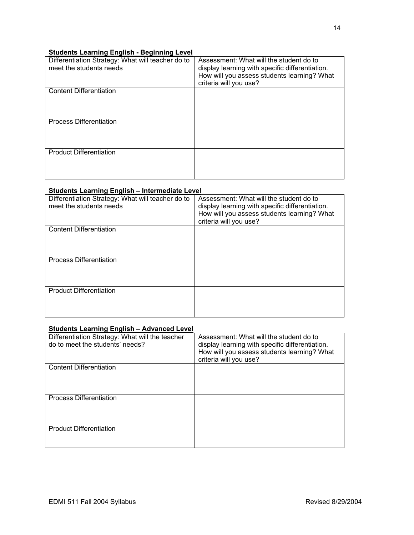#### **Students Learning English - Beginning Level**

| Differentiation Strategy: What will teacher do to<br>meet the students needs | Assessment: What will the student do to<br>display learning with specific differentiation.<br>How will you assess students learning? What<br>criteria will you use? |
|------------------------------------------------------------------------------|---------------------------------------------------------------------------------------------------------------------------------------------------------------------|
| <b>Content Differentiation</b>                                               |                                                                                                                                                                     |
| <b>Process Differentiation</b>                                               |                                                                                                                                                                     |
| <b>Product Differentiation</b>                                               |                                                                                                                                                                     |

#### **Students Learning English – Intermediate Level**

| Differentiation Strategy: What will teacher do to<br>meet the students needs | Assessment: What will the student do to<br>display learning with specific differentiation.<br>How will you assess students learning? What<br>criteria will you use? |
|------------------------------------------------------------------------------|---------------------------------------------------------------------------------------------------------------------------------------------------------------------|
| <b>Content Differentiation</b>                                               |                                                                                                                                                                     |
| <b>Process Differentiation</b>                                               |                                                                                                                                                                     |
| <b>Product Differentiation</b>                                               |                                                                                                                                                                     |

#### **Students Learning English – Advanced Level**

| Differentiation Strategy: What will the teacher<br>do to meet the students' needs? | Assessment: What will the student do to<br>display learning with specific differentiation.<br>How will you assess students learning? What<br>criteria will you use? |
|------------------------------------------------------------------------------------|---------------------------------------------------------------------------------------------------------------------------------------------------------------------|
| <b>Content Differentiation</b>                                                     |                                                                                                                                                                     |
| <b>Process Differentiation</b>                                                     |                                                                                                                                                                     |
| <b>Product Differentiation</b>                                                     |                                                                                                                                                                     |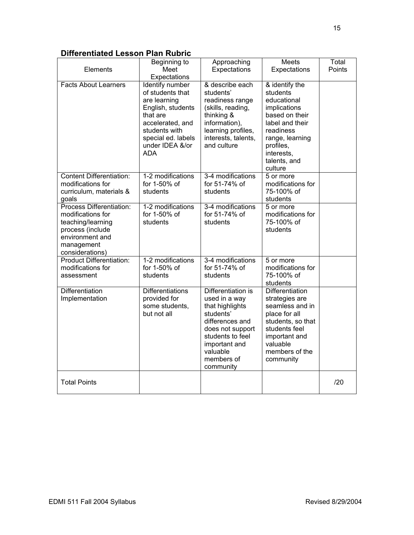# **Differentiated Lesson Plan Rubric**

| Elements                                                                                                                                   | Beginning to<br>Meet                                                                                                                                                                             | Approaching<br>Expectations                                                                                                                                                            | Meets<br>Expectations                                                                                                                                                                | Total<br>Points |
|--------------------------------------------------------------------------------------------------------------------------------------------|--------------------------------------------------------------------------------------------------------------------------------------------------------------------------------------------------|----------------------------------------------------------------------------------------------------------------------------------------------------------------------------------------|--------------------------------------------------------------------------------------------------------------------------------------------------------------------------------------|-----------------|
| <b>Facts About Learners</b>                                                                                                                | Expectations<br>Identify number<br>of students that<br>are learning<br>English, students<br>that are<br>accelerated, and<br>students with<br>special ed. labels<br>under IDEA &/or<br><b>ADA</b> | & describe each<br>students'<br>readiness range<br>(skills, reading,<br>thinking &<br>information),<br>learning profiles,<br>interests, talents,<br>and culture                        | & identify the<br>students<br>educational<br>implications<br>based on their<br>label and their<br>readiness<br>range, learning<br>profiles,<br>interests,<br>talents, and<br>culture |                 |
| <b>Content Differentiation:</b><br>modifications for<br>curriculum, materials &<br>goals                                                   | 1-2 modifications<br>for 1-50% of<br>students                                                                                                                                                    | 3-4 modifications<br>for 51-74% of<br>students                                                                                                                                         | 5 or more<br>modifications for<br>75-100% of<br>students                                                                                                                             |                 |
| Process Differentiation:<br>modifications for<br>teaching/learning<br>process (include<br>environment and<br>management<br>considerations) | 1-2 modifications<br>for 1-50% of<br>students                                                                                                                                                    | 3-4 modifications<br>for 51-74% of<br>students                                                                                                                                         | 5 or more<br>modifications for<br>75-100% of<br>students                                                                                                                             |                 |
| <b>Product Differentiation:</b><br>modifications for<br>assessment                                                                         | 1-2 modifications<br>for 1-50% of<br>students                                                                                                                                                    | 3-4 modifications<br>for 51-74% of<br>students                                                                                                                                         | 5 or more<br>modifications for<br>75-100% of<br>students                                                                                                                             |                 |
| Differentiation<br>Implementation                                                                                                          | <b>Differentiations</b><br>provided for<br>some students,<br>but not all                                                                                                                         | Differentiation is<br>used in a way<br>that highlights<br>students'<br>differences and<br>does not support<br>students to feel<br>important and<br>valuable<br>members of<br>community | Differentiation<br>strategies are<br>seamless and in<br>place for all<br>students, so that<br>students feel<br>important and<br>valuable<br>members of the<br>community              |                 |
| <b>Total Points</b>                                                                                                                        |                                                                                                                                                                                                  |                                                                                                                                                                                        |                                                                                                                                                                                      | /20             |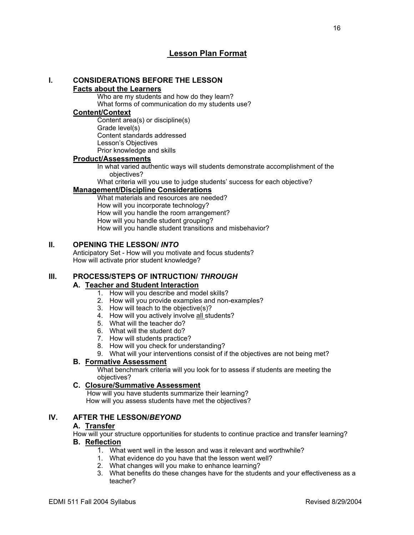# **Lesson Plan Format**

#### **I. CONSIDERATIONS BEFORE THE LESSON Facts about the Learners**

Who are my students and how do they learn? What forms of communication do my students use?

#### **Content/Context**

Content area(s) or discipline(s) Grade level(s) Content standards addressed Lesson's Objectives Prior knowledge and skills

#### **Product/Assessments**

In what varied authentic ways will students demonstrate accomplishment of the objectives?

What criteria will you use to judge students' success for each objective?

# **Management/Discipline Considerations**

What materials and resources are needed? How will you incorporate technology? How will you handle the room arrangement? How will you handle student grouping? How will you handle student transitions and misbehavior?

#### **II. OPENING THE LESSON/** *INTO*

Anticipatory Set - How will you motivate and focus students? How will activate prior student knowledge?

# **III. PROCESS/STEPS OF INTRUCTION/** *THROUGH*

#### **A. Teacher and Student Interaction**

- 1. How will you describe and model skills?
- 2. How will you provide examples and non-examples?
- 3. How will teach to the objective(s)?
- 4. How will you actively involve all students?
- 5. What will the teacher do?
- 6. What will the student do?
- 7. How will students practice?
- 8. How will you check for understanding?
- 9. What will your interventions consist of if the objectives are not being met?

# **B. Formative Assessment**

What benchmark criteria will you look for to assess if students are meeting the objectives?

#### **C. Closure/Summative Assessment**

 How will you have students summarize their learning? How will you assess students have met the objectives?

## **IV. AFTER THE LESSON/***BEYOND*

#### **A. Transfer**

How will your structure opportunities for students to continue practice and transfer learning?

#### **B. Reflection**

- 1. What went well in the lesson and was it relevant and worthwhile?
- 1. What evidence do you have that the lesson went well?
	- 2. What changes will you make to enhance learning?
	- 3. What benefits do these changes have for the students and your effectiveness as a teacher?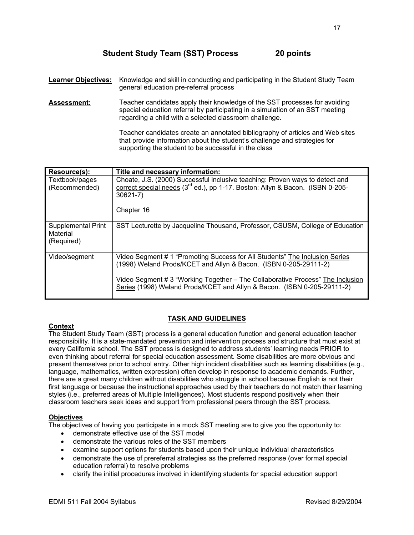**Learner Objectives:** Knowledge and skill in conducting and participating in the Student Study Team general education pre-referral process

**Assessment:** Teacher candidates apply their knowledge of the SST processes for avoiding special education referral by participating in a simulation of an SST meeting regarding a child with a selected classroom challenge.

> Teacher candidates create an annotated bibliography of articles and Web sites that provide information about the student's challenge and strategies for supporting the student to be successful in the class

| Resource(s):                                        | Title and necessary information:                                                                                                                                                                                                                                                                             |
|-----------------------------------------------------|--------------------------------------------------------------------------------------------------------------------------------------------------------------------------------------------------------------------------------------------------------------------------------------------------------------|
| Textbook/pages<br>(Recommended)                     | Choate, J.S. (2000) Successful inclusive teaching: Proven ways to detect and<br>correct special needs (3 <sup>rd</sup> ed.), pp 1-17. Boston: Allyn & Bacon. (ISBN 0-205-<br>$30621 - 7$ )                                                                                                                   |
|                                                     | Chapter 16                                                                                                                                                                                                                                                                                                   |
| <b>Supplemental Print</b><br>Material<br>(Required) | SST Lecturette by Jacqueline Thousand, Professor, CSUSM, College of Education                                                                                                                                                                                                                                |
| Video/segment                                       | Video Segment # 1 "Promoting Success for All Students" The Inclusion Series<br>(1998) Weland Prods/KCET and Allyn & Bacon. (ISBN 0-205-29111-2)<br>Video Segment # 3 "Working Together – The Collaborative Process" The Inclusion<br>Series (1998) Weland Prods/KCET and Allyn & Bacon. (ISBN 0-205-29111-2) |

#### **Context**

The Student Study Team (SST) process is a general education function and general education teacher responsibility. It is a state-mandated prevention and intervention process and structure that must exist at every California school. The SST process is designed to address students' learning needs PRIOR to even thinking about referral for special education assessment. Some disabilities are more obvious and present themselves prior to school entry. Other high incident disabilities such as learning disabilities (e.g., language, mathematics, written expression) often develop in response to academic demands. Further, there are a great many children without disabilities who struggle in school because English is not their first language or because the instructional approaches used by their teachers do not match their learning styles (i.e., preferred areas of Multiple Intelligences). Most students respond positively when their classroom teachers seek ideas and support from professional peers through the SST process.

**TASK AND GUIDELINES**

#### **Objectives**

The objectives of having you participate in a mock SST meeting are to give you the opportunity to:

- demonstrate effective use of the SST model
- demonstrate the various roles of the SST members
- examine support options for students based upon their unique individual characteristics
- demonstrate the use of prereferral strategies as the preferred response (over formal special education referral) to resolve problems
- clarify the initial procedures involved in identifying students for special education support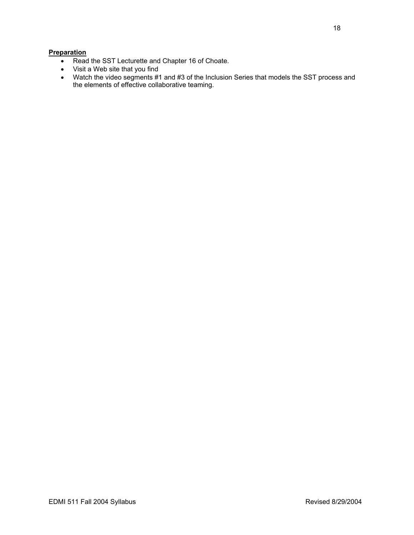#### **Preparation**

- Read the SST Lecturette and Chapter 16 of Choate.
- Visit a Web site that you find
- Watch the video segments #1 and #3 of the Inclusion Series that models the SST process and the elements of effective collaborative teaming.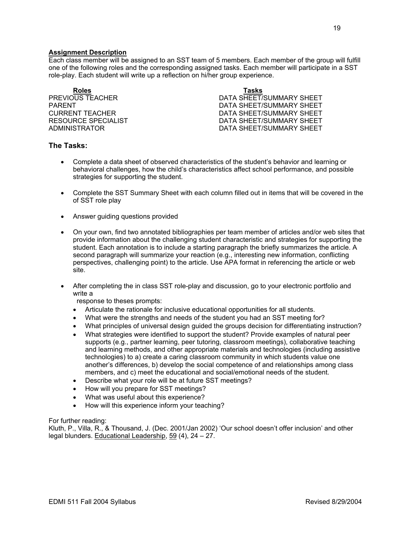#### **Assignment Description**

Each class member will be assigned to an SST team of 5 members. Each member of the group will fulfill one of the following roles and the corresponding assigned tasks. Each member will participate in a SST role-play. Each student will write up a reflection on hi/her group experience.

**Roles Tasks**

PREVIOUS TEACHER **EXECUTE:** DATA SHEET/SUMMARY SHEET PARENT PARENT DATA SHEET/SUMMARY SHEET CURRENT TEACHER DATA SHEET/SUMMARY SHEET RESOURCE SPECIALIST **EXECUTE:** THE SECOND DATA SHEET/SUMMARY SHEET ADMINISTRATOR DATA SHEET/SUMMARY SHEET

#### **The Tasks:**

- Complete a data sheet of observed characteristics of the student's behavior and learning or behavioral challenges, how the child's characteristics affect school performance, and possible strategies for supporting the student.
- Complete the SST Summary Sheet with each column filled out in items that will be covered in the of SST role play
- Answer guiding questions provided
- On your own, find two annotated bibliographies per team member of articles and/or web sites that provide information about the challenging student characteristic and strategies for supporting the student. Each annotation is to include a starting paragraph the briefly summarizes the article. A second paragraph will summarize your reaction (e.g., interesting new information, conflicting perspectives, challenging point) to the article. Use APA format in referencing the article or web site.
- After completing the in class SST role-play and discussion, go to your electronic portfolio and write a
	- response to theses prompts:
	- Articulate the rationale for inclusive educational opportunities for all students.
	- What were the strengths and needs of the student you had an SST meeting for?
	- What principles of universal design guided the groups decision for differentiating instruction?
	- What strategies were identified to support the student? Provide examples of natural peer supports (e.g., partner learning, peer tutoring, classroom meetings), collaborative teaching and learning methods, and other appropriate materials and technologies (including assistive technologies) to a) create a caring classroom community in which students value one another's differences, b) develop the social competence of and relationships among class members, and c) meet the educational and social/emotional needs of the student.
	- Describe what your role will be at future SST meetings?
	- How will you prepare for SST meetings?
	- What was useful about this experience?
	- How will this experience inform your teaching?

#### For further reading:

Kluth, P., Villa, R., & Thousand, J. (Dec. 2001/Jan 2002) 'Our school doesn't offer inclusion' and other legal blunders. Educational Leadership, 59 (4), 24 – 27.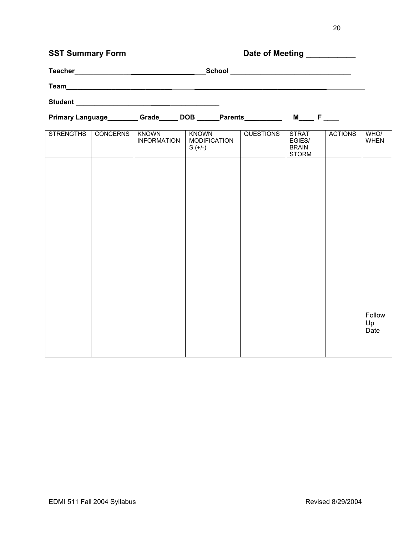| <b>SST Summary Form</b> |                 |                             | Date of Meeting __________                       |                  |                                                        |                |                     |
|-------------------------|-----------------|-----------------------------|--------------------------------------------------|------------------|--------------------------------------------------------|----------------|---------------------|
|                         |                 |                             |                                                  |                  |                                                        |                |                     |
|                         |                 |                             |                                                  |                  |                                                        |                |                     |
|                         |                 |                             |                                                  |                  |                                                        |                |                     |
|                         |                 |                             |                                                  |                  |                                                        |                |                     |
| <b>STRENGTHS</b>        | <b>CONCERNS</b> | KNOWN<br><b>INFORMATION</b> | <b>KNOWN</b><br><b>MODIFICATION</b><br>$S (+/-)$ | <b>QUESTIONS</b> | <b>STRAT</b><br>EGIES/<br><b>BRAIN</b><br><b>STORM</b> | <b>ACTIONS</b> | WHO/<br><b>WHEN</b> |
|                         |                 |                             |                                                  |                  |                                                        |                |                     |
|                         |                 |                             |                                                  |                  |                                                        |                |                     |
|                         |                 |                             |                                                  |                  |                                                        |                |                     |

Follow Up Date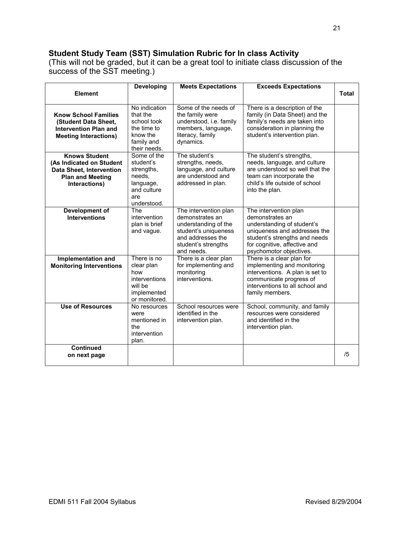# **Student Study Team (SST) Simulation Rubric for In class Activity**

(This will not be graded, but it can be a great tool to initiate class discussion of the success of the SST meeting.)

|                                                                                                                                 | <b>Developing</b>                                                                                  | <b>Meets Expectations</b>                                                                                                                          | <b>Exceeds Expectations</b>                                                                                                                                                                        |              |
|---------------------------------------------------------------------------------------------------------------------------------|----------------------------------------------------------------------------------------------------|----------------------------------------------------------------------------------------------------------------------------------------------------|----------------------------------------------------------------------------------------------------------------------------------------------------------------------------------------------------|--------------|
| Element                                                                                                                         |                                                                                                    |                                                                                                                                                    |                                                                                                                                                                                                    | <b>Total</b> |
| <b>Know School Families</b><br>(Student Data Sheet,<br><b>Intervention Plan and</b><br><b>Meeting Interactions)</b>             | No indication<br>that the<br>school took<br>the time to<br>know the<br>family and<br>their needs.  | Some of the needs of<br>the family were<br>understood, i.e. family<br>members, language,<br>literacy, family<br>dynamics.                          | There is a description of the<br>family (in Data Sheet) and the<br>family's needs are taken into<br>consideration in planning the<br>student's intervention plan.                                  |              |
| <b>Knows Student</b><br>(As Indicated on Student<br><b>Data Sheet, Intervention</b><br><b>Plan and Meeting</b><br>Interactions) | Some of the<br>student's<br>strengths,<br>needs,<br>language,<br>and culture<br>are<br>understood. | The student's<br>strengths, needs,<br>language, and culture<br>are understood and<br>addressed in plan.                                            | The student's strengths,<br>needs, language, and culture<br>are understood so well that the<br>team can incorporate the<br>child's life outside of school<br>into the plan.                        |              |
| Development of<br><b>Interventions</b>                                                                                          | The<br>intervention<br>plan is brief<br>and vague.                                                 | The intervention plan<br>demonstrates an<br>understanding of the<br>student's uniqueness<br>and addresses the<br>student's strengths<br>and needs. | The intervention plan<br>demonstrates an<br>understanding of student's<br>uniqueness and addresses the<br>student's strengths and needs<br>for cognitive, affective and<br>psychomotor objectives. |              |
| Implementation and<br><b>Monitoring Interventions</b>                                                                           | There is no<br>clear plan<br>how<br>interventions<br>will be<br>implemented<br>or monitored.       | There is a clear plan<br>for implementing and<br>monitoring<br>interventions.                                                                      | There is a clear plan for<br>implementing and monitoring<br>interventions. A plan is set to<br>communicate progress of<br>interventions to all school and<br>family members.                       |              |
| <b>Use of Resources</b>                                                                                                         | No resources<br>were<br>mentioned in<br>the<br>intervention<br>plan.                               | School resources were<br>identified in the<br>intervention plan.                                                                                   | School, community, and family<br>resources were considered<br>and identified in the<br>intervention plan.                                                                                          |              |
| <b>Continued</b><br>on next page                                                                                                |                                                                                                    |                                                                                                                                                    |                                                                                                                                                                                                    | /5           |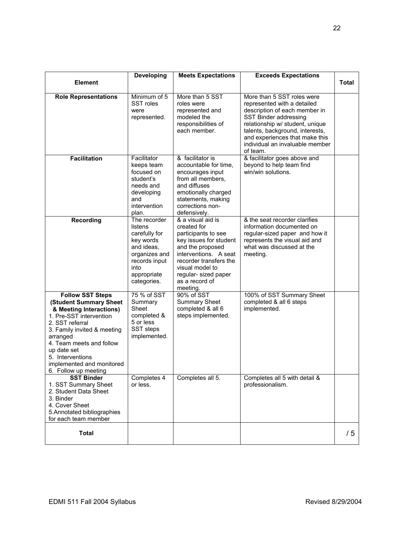|                                                                                                                                                                                                                                                                                           | <b>Developing</b>                                                                                                                           | <b>Meets Expectations</b>                                                                                                                                                                                                        | <b>Exceeds Expectations</b>                                                                                                                                                                                                                                                |       |
|-------------------------------------------------------------------------------------------------------------------------------------------------------------------------------------------------------------------------------------------------------------------------------------------|---------------------------------------------------------------------------------------------------------------------------------------------|----------------------------------------------------------------------------------------------------------------------------------------------------------------------------------------------------------------------------------|----------------------------------------------------------------------------------------------------------------------------------------------------------------------------------------------------------------------------------------------------------------------------|-------|
| <b>Element</b>                                                                                                                                                                                                                                                                            |                                                                                                                                             |                                                                                                                                                                                                                                  |                                                                                                                                                                                                                                                                            | Total |
| <b>Role Representations</b>                                                                                                                                                                                                                                                               | Minimum of 5<br>SST roles<br>were<br>represented.                                                                                           | More than 5 SST<br>roles were<br>represented and<br>modeled the<br>responsibilities of<br>each member.                                                                                                                           | More than 5 SST roles were<br>represented with a detailed<br>description of each member in<br>SST Binder addressing<br>relationship w/ student, unique<br>talents, background, interests,<br>and experiences that make this<br>individual an invaluable member<br>of team. |       |
| <b>Facilitation</b>                                                                                                                                                                                                                                                                       | Facilitator<br>keeps team<br>focused on<br>student's<br>needs and<br>developing<br>and<br>intervention<br>plan.                             | & facilitator is<br>accountable for time,<br>encourages input<br>from all members.<br>and diffuses<br>emotionally charged<br>statements, making<br>corrections non-<br>defensively.                                              | & facilitator goes above and<br>beyond to help team find<br>win/win solutions.                                                                                                                                                                                             |       |
| <b>Recording</b>                                                                                                                                                                                                                                                                          | The recorder<br>listens<br>carefully for<br>key words<br>and ideas,<br>organizes and<br>records input<br>into<br>appropriate<br>categories. | & a visual aid is<br>created for<br>participants to see<br>key issues for student<br>and the proposed<br>interventions. A seat<br>recorder transfers the<br>visual model to<br>regular-sized paper<br>as a record of<br>meeting. | & the seat recorder clarifies<br>information documented on<br>regular-sized paper and how it<br>represents the visual aid and<br>what was discussed at the<br>meeting.                                                                                                     |       |
| <b>Follow SST Steps</b><br>(Student Summary Sheet<br>& Meeting Interactions)<br>1. Pre-SST intervention<br>2. SST referral<br>3. Family invited & meeting<br>arranged<br>4. Team meets and follow<br>up date set<br>5. Interventions<br>implemented and monitored<br>6. Follow up meeting | 75 % of SST<br>Summary<br>Sheet<br>completed &<br>5 or less<br>SST steps<br>implemented.                                                    | 90% of SST<br><b>Summary Sheet</b><br>completed & all 6<br>steps implemented.                                                                                                                                                    | 100% of SST Summary Sheet<br>completed & all 6 steps<br>implemented.                                                                                                                                                                                                       |       |
| <b>SST Binder</b><br>1. SST Summary Sheet<br>2. Student Data Sheet<br>3. Binder<br>4. Cover Sheet<br>5. Annotated bibliographies<br>for each team member                                                                                                                                  | Completes 4<br>or less.                                                                                                                     | Completes all 5.                                                                                                                                                                                                                 | Completes all 5 with detail &<br>professionalism.                                                                                                                                                                                                                          |       |
| <b>Total</b>                                                                                                                                                                                                                                                                              |                                                                                                                                             |                                                                                                                                                                                                                                  |                                                                                                                                                                                                                                                                            | /5    |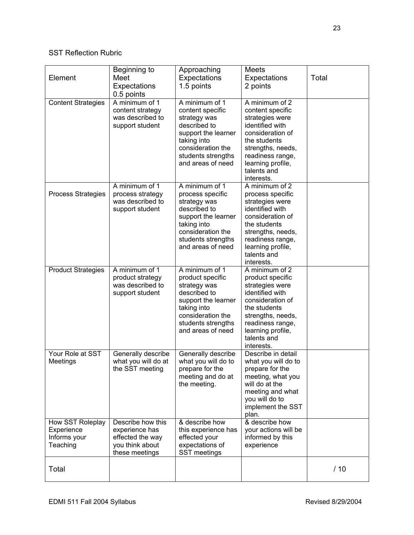# SST Reflection Rubric

| Element                                                    | Beginning to<br>Meet<br>Expectations<br>0.5 points                                           | Approaching<br>Expectations<br>1.5 points                                                                                                                                | <b>Meets</b><br>Expectations<br>2 points                                                                                                                                                                  | Total |
|------------------------------------------------------------|----------------------------------------------------------------------------------------------|--------------------------------------------------------------------------------------------------------------------------------------------------------------------------|-----------------------------------------------------------------------------------------------------------------------------------------------------------------------------------------------------------|-------|
| <b>Content Strategies</b>                                  | A minimum of 1<br>content strategy<br>was described to<br>support student                    | A minimum of 1<br>content specific<br>strategy was<br>described to<br>support the learner<br>taking into<br>consideration the<br>students strengths<br>and areas of need | A minimum of $2$<br>content specific<br>strategies were<br>identified with<br>consideration of<br>the students<br>strengths, needs,<br>readiness range,<br>learning profile,<br>talents and<br>interests. |       |
| <b>Process Strategies</b>                                  | A minimum of 1<br>process strategy<br>was described to<br>support student                    | A minimum of 1<br>process specific<br>strategy was<br>described to<br>support the learner<br>taking into<br>consideration the<br>students strengths<br>and areas of need | A minimum of 2<br>process specific<br>strategies were<br>identified with<br>consideration of<br>the students<br>strengths, needs,<br>readiness range,<br>learning profile,<br>talents and<br>interests.   |       |
| <b>Product Strategies</b>                                  | A minimum of 1<br>product strategy<br>was described to<br>support student                    | A minimum of 1<br>product specific<br>strategy was<br>described to<br>support the learner<br>taking into<br>consideration the<br>students strengths<br>and areas of need | A minimum of 2<br>product specific<br>strategies were<br>identified with<br>consideration of<br>the students<br>strengths, needs,<br>readiness range,<br>learning profile,<br>talents and<br>interests.   |       |
| Your Role at SST<br>Meetings                               | Generally describe<br>what you will do at<br>the SST meeting                                 | Generally describe<br>what you will do to<br>prepare for the<br>meeting and do at<br>the meeting.                                                                        | Describe in detail<br>what you will do to<br>prepare for the<br>meeting, what you<br>will do at the<br>meeting and what<br>you will do to<br>implement the SST<br>plan.                                   |       |
| How SST Roleplay<br>Experience<br>Informs your<br>Teaching | Describe how this<br>experience has<br>effected the way<br>you think about<br>these meetings | & describe how<br>this experience has<br>effected your<br>expectations of<br>SST meetings                                                                                | & describe how<br>your actions will be<br>informed by this<br>experience                                                                                                                                  |       |
| Total                                                      |                                                                                              |                                                                                                                                                                          |                                                                                                                                                                                                           | /10   |